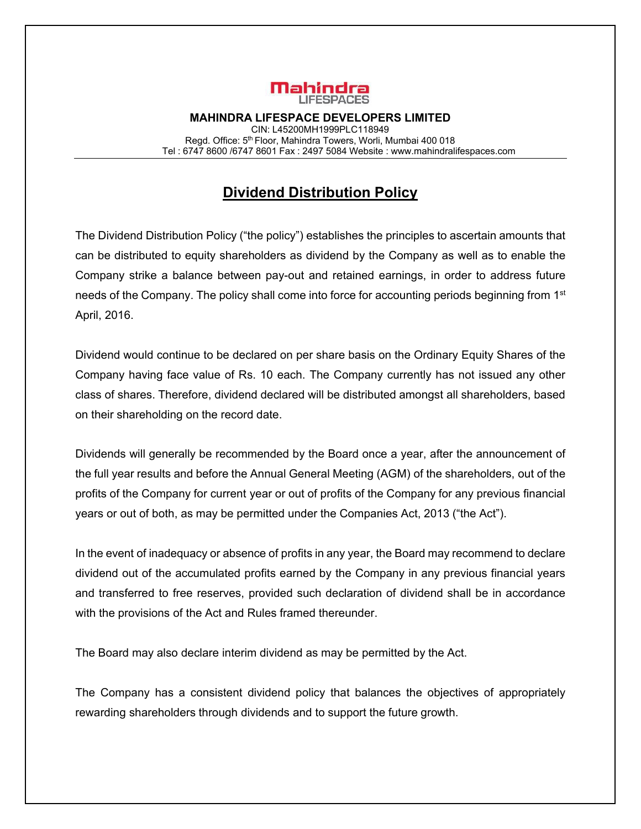

**MAHINDRA LIFESPACE DEVELOPERS LIMITED**  CIN: L45200MH1999PLC118949 Regd. Office: 5<sup>th</sup> Floor, Mahindra Towers, Worli, Mumbai 400 018 Tel : 6747 8600 /6747 8601 Fax : 2497 5084 Website : www.mahindralifespaces.com

## **Dividend Distribution Policy**

The Dividend Distribution Policy ("the policy") establishes the principles to ascertain amounts that can be distributed to equity shareholders as dividend by the Company as well as to enable the Company strike a balance between pay-out and retained earnings, in order to address future needs of the Company. The policy shall come into force for accounting periods beginning from 1<sup>st</sup> April, 2016.

Dividend would continue to be declared on per share basis on the Ordinary Equity Shares of the Company having face value of Rs. 10 each. The Company currently has not issued any other class of shares. Therefore, dividend declared will be distributed amongst all shareholders, based on their shareholding on the record date.

Dividends will generally be recommended by the Board once a year, after the announcement of the full year results and before the Annual General Meeting (AGM) of the shareholders, out of the profits of the Company for current year or out of profits of the Company for any previous financial years or out of both, as may be permitted under the Companies Act, 2013 ("the Act").

In the event of inadequacy or absence of profits in any year, the Board may recommend to declare dividend out of the accumulated profits earned by the Company in any previous financial years and transferred to free reserves, provided such declaration of dividend shall be in accordance with the provisions of the Act and Rules framed thereunder.

The Board may also declare interim dividend as may be permitted by the Act.

The Company has a consistent dividend policy that balances the objectives of appropriately rewarding shareholders through dividends and to support the future growth.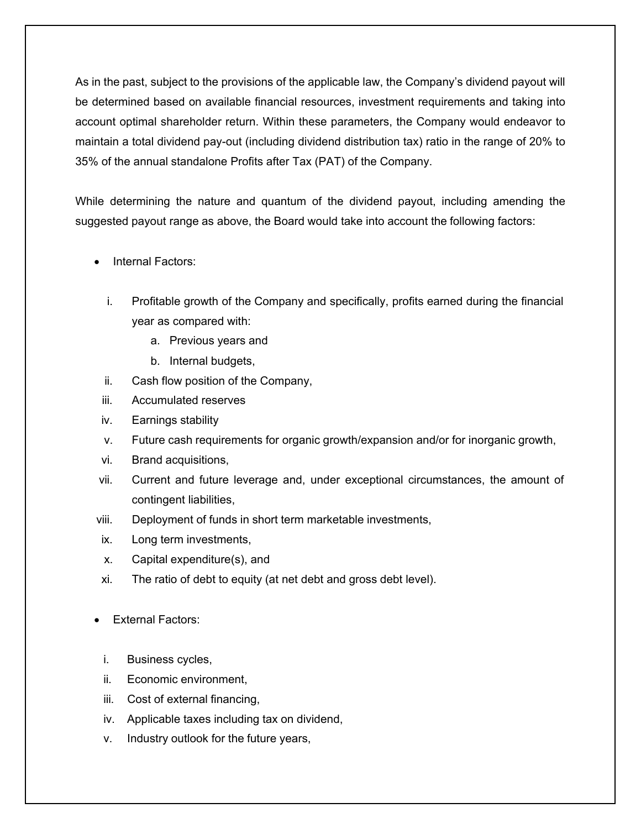As in the past, subject to the provisions of the applicable law, the Company's dividend payout will be determined based on available financial resources, investment requirements and taking into account optimal shareholder return. Within these parameters, the Company would endeavor to maintain a total dividend pay-out (including dividend distribution tax) ratio in the range of 20% to 35% of the annual standalone Profits after Tax (PAT) of the Company.

While determining the nature and quantum of the dividend payout, including amending the suggested payout range as above, the Board would take into account the following factors:

- Internal Factors:
	- i. Profitable growth of the Company and specifically, profits earned during the financial year as compared with:
		- a. Previous years and
		- b. Internal budgets,
	- ii. Cash flow position of the Company,
- iii. Accumulated reserves
- iv. Earnings stability
- v. Future cash requirements for organic growth/expansion and/or for inorganic growth,
- vi. Brand acquisitions,
- vii. Current and future leverage and, under exceptional circumstances, the amount of contingent liabilities,
- viii. Deployment of funds in short term marketable investments,
- ix. Long term investments,
- x. Capital expenditure(s), and
- xi. The ratio of debt to equity (at net debt and gross debt level).
- External Factors:
	- i. Business cycles,
	- ii. Economic environment,
	- iii. Cost of external financing,
	- iv. Applicable taxes including tax on dividend,
	- v. Industry outlook for the future years,